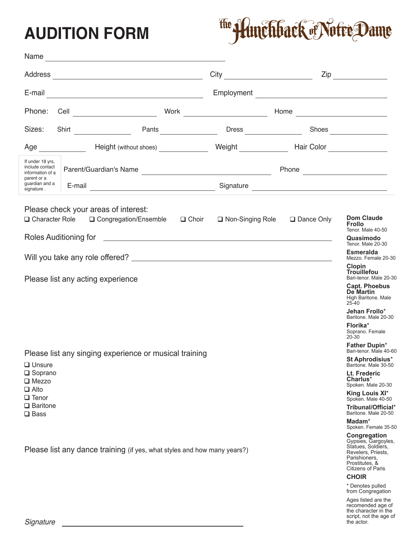## **AUDITION FORM**

## The *Hunchback* of Notre Dame

| Name                                                                                                                            |                                                                                                                                         |                                                        |                                           |                                |                                                                   |  |
|---------------------------------------------------------------------------------------------------------------------------------|-----------------------------------------------------------------------------------------------------------------------------------------|--------------------------------------------------------|-------------------------------------------|--------------------------------|-------------------------------------------------------------------|--|
| Address<br><u> 1989 - Johann Barn, mars eta bainar eta bainar eta baina eta baina eta baina eta baina eta baina eta baina e</u> |                                                                                                                                         |                                                        |                                           |                                | $\mathsf{Zip}$                                                    |  |
| E-mail                                                                                                                          | <u> 2000 - Andrea Andrew Maria (h. 18</u>                                                                                               |                                                        | Employment                                |                                |                                                                   |  |
| Phone:<br>Cell                                                                                                                  |                                                                                                                                         | Work                                                   | <u> 1990 - Johann Barbara, martxa a</u>   | Home                           | <u> 1989 - Johann Barbara, martxa eta idazlea </u>                |  |
| Sizes:                                                                                                                          | Shirt                                                                                                                                   | Pants                                                  | <b>Dress Exercise 2018</b>                |                                | Shoes                                                             |  |
| Age                                                                                                                             | Height (without shoes) ______________                                                                                                   |                                                        | Weight Network                            |                                | Hair Color ________________                                       |  |
| If under 18 yrs,<br>include contact<br>information of a<br>parent or a<br>guardian and a<br>signature.                          |                                                                                                                                         |                                                        |                                           | Phone <u>_________________</u> |                                                                   |  |
|                                                                                                                                 | E-mail<br><u> 1989 - Johann Barbara, martin a</u>                                                                                       |                                                        |                                           |                                |                                                                   |  |
|                                                                                                                                 | Please check your areas of interest:<br>$\Box$ Character Role $\Box$ Congregation/Ensemble                                              | $\Box$ Choir                                           | $\Box$ Non-Singing Role $\Box$ Dance Only |                                | <b>Dom Claude</b><br><b>Frollo</b><br>Tenor. Male 40-50           |  |
|                                                                                                                                 |                                                                                                                                         | Quasimodo<br>Tenor. Male 20-30                         |                                           |                                |                                                                   |  |
|                                                                                                                                 | <b>Esmeralda</b><br>Mezzo. Female 20-30                                                                                                 |                                                        |                                           |                                |                                                                   |  |
| Please list any acting experience                                                                                               |                                                                                                                                         | Clopin<br><b>Trouillefou</b><br>Bari-tenor. Male 20-30 |                                           |                                |                                                                   |  |
|                                                                                                                                 |                                                                                                                                         |                                                        |                                           |                                | Capt. Phoebus<br><b>De Martin</b><br>High Baritone. Male<br>25-40 |  |
|                                                                                                                                 |                                                                                                                                         |                                                        |                                           |                                | Jehan Frollo*<br>Baritone. Male 20-30                             |  |
|                                                                                                                                 |                                                                                                                                         |                                                        |                                           |                                | Florika*<br>Soprano, Female<br>$20 - 30$                          |  |
| Please list any singing experience or musical training                                                                          |                                                                                                                                         | Father Dupin*<br>Bari-tenor. Male 40-60                |                                           |                                |                                                                   |  |
| $\Box$ Unsure                                                                                                                   |                                                                                                                                         | St Aphrodisius*<br>Baritone. Male 30-50                |                                           |                                |                                                                   |  |
| $\square$ Soprano<br>$\Box$ Mezzo                                                                                               |                                                                                                                                         |                                                        |                                           |                                | Lt. Frederic<br>Charlus*<br>Spoken. Male 20-30                    |  |
| $\Box$ Alto<br>$\Box$ Tenor                                                                                                     |                                                                                                                                         |                                                        |                                           |                                | King Louis XI*<br>Spoken. Male 40-50                              |  |
| $\Box$ Baritone<br>$\Box$ Bass                                                                                                  |                                                                                                                                         |                                                        |                                           |                                | Tribunal/Official*<br>Baritone. Male 20-50                        |  |
|                                                                                                                                 |                                                                                                                                         |                                                        |                                           |                                | Madam*<br>Spoken. Female 35-50                                    |  |
| Please list any dance training (if yes, what styles and how many years?)                                                        | Congregation<br>Gypsies, Gargoyles,<br>Statues, Soldiers,<br>Revelers, Priests,<br>Parishioners,<br>Prostitutes, &<br>Citizens of Paris |                                                        |                                           |                                |                                                                   |  |
|                                                                                                                                 |                                                                                                                                         |                                                        |                                           |                                | <b>CHOIR</b><br>* Denotes pulled                                  |  |
|                                                                                                                                 |                                                                                                                                         |                                                        |                                           |                                | from Congregation                                                 |  |

Ages listed are the recomended age of the character in the script, not the age of the actor.